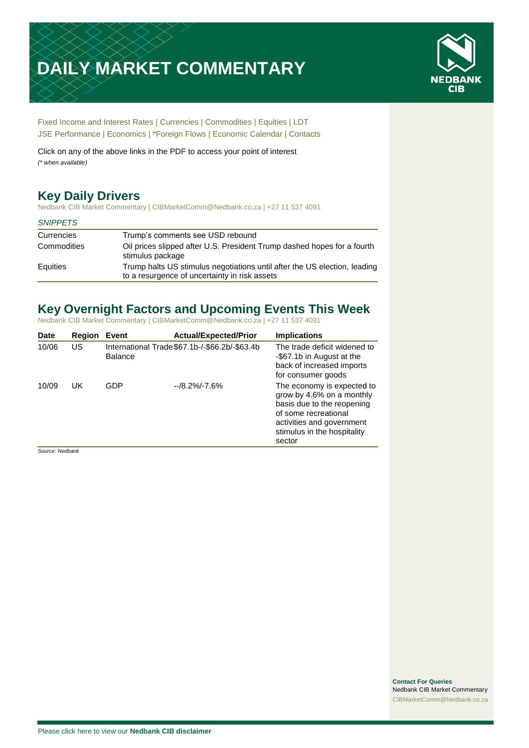# **DAILY MARKET COMMENTARY**



[Fixed Income and Interest Rates](#page-1-0) | [Currencies](#page-2-0) | [Commodities](#page-2-1) [| Equities](#page-4-0) | [LDT](#page-4-1) [JSE Performance](#page-6-0) [| Economics](#page-7-0) | \*Foreign Flows | [Economic Calendar](#page-7-0) | [Contacts](#page-8-0)

Click on any of the above links in the PDF to access your point of interest *(\* when available)*

# **Key Daily Drivers**

Nedbank CIB Market Commentary | CIBMarketComm@Nedbank.co.za | +27 11 537 4091

#### *SNIPPETS*

| Currencies  | Trump's comments see USD rebound                                                                                           |
|-------------|----------------------------------------------------------------------------------------------------------------------------|
| Commodities | Oil prices slipped after U.S. President Trump dashed hopes for a fourth<br>stimulus package                                |
| Equities    | Trump halts US stimulus negotiations until after the US election, leading<br>to a resurgence of uncertainty in risk assets |

# **Key Overnight Factors and Upcoming Events This Week**

Nedbank CIB Market Commentary | CIBMarketComm@Nedbank.co.za | +27 11 537 4091

| Date  | <b>Region</b> | Event          | <b>Actual/Expected/Prior</b>                   | <b>Implications</b>                                                                                                                                                                 |
|-------|---------------|----------------|------------------------------------------------|-------------------------------------------------------------------------------------------------------------------------------------------------------------------------------------|
| 10/06 | US            | <b>Balance</b> | International Trade \$67.1b-/-\$66.2b/-\$63.4b | The trade deficit widened to<br>-\$67.1b in August at the<br>back of increased imports<br>for consumer goods                                                                        |
| 10/09 | UK            | GDP            | $-18.2\% - 7.6\%$                              | The economy is expected to<br>grow by 4.6% on a monthly<br>basis due to the reopening<br>of some recreational<br>activities and government<br>stimulus in the hospitality<br>sector |

*Source: Nedbank*

**Contact For Queries** Nedbank CIB Market Commentary [CIBMarketComm@Nedbank.co.za](file:///C:/Users/Paul-Rose/AppData/Roaming/Bluecurve/templates/CIBMarketComm@Nedbank.co.za)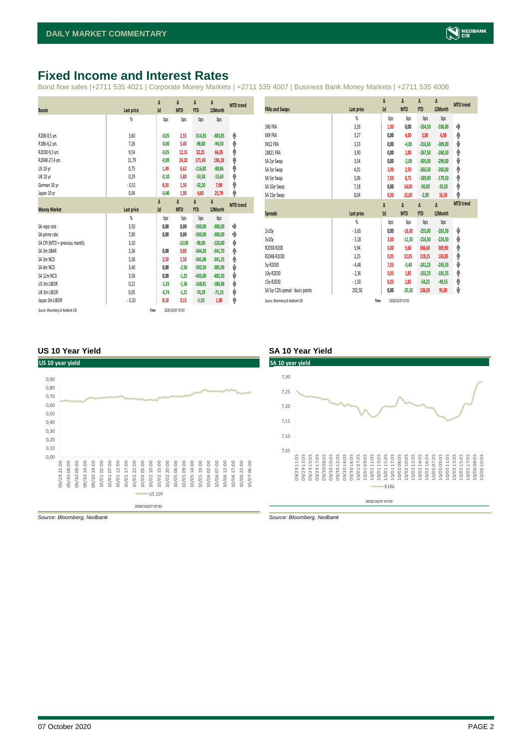#### <span id="page-1-0"></span>**Fixed Income and Interest Rates**

Bond flow sales |+2711 535 4021 | Corporate Money Markets | +2711 535 4007 | Business Bank Money Markets | +2711 535 4006

|                                 |                   | Δ       | Δ                | Δ          | Δ         | <b>MTD</b> trend |
|---------------------------------|-------------------|---------|------------------|------------|-----------|------------------|
| <b>Bonds</b>                    | Last price        | 1d      | <b>MTD</b>       | <b>YTD</b> | 12Month   |                  |
|                                 | %                 | bps     | bps              | bps        | bps       |                  |
|                                 |                   |         |                  |            |           |                  |
| R208-0,5 yrs                    | 3,60              | $-0.05$ | 2,55             | $-314,35$  | $-303,85$ | ۸                |
| R186-6,2 yrs                    | 7,26              | $-0,00$ | 5,40             | $-98,80$   | $-94,50$  | ۸                |
| R2030-9,3 yrs                   | 9,54              | $-0,05$ | 12,15            | 52,25      | 66,05     | ۸                |
| R2048-27,4 yrs                  | 11,79             | $-0,00$ | 24,20            | 171,40     | 196,10    | φ                |
| US 10 yr                        | 0,75              | 1,49    | 6,62             | $-116,82$  | $-80,86$  | ۸                |
| <b>UK 10 yr</b>                 | 0,29              | $-0,10$ | 5,80             | $-53,50$   | $-15,60$  | ۸                |
| German 10 yr                    | $-0,51$           | 0,30    | 1,50             | $-32,20$   | 7,90      | φ                |
| Japan 10 yr                     | 0,04              | $-0,40$ | 1,90             | 4,60       | 25,70     | φ                |
|                                 |                   | Δ       | Δ                | Δ          | Δ         | <b>MTD</b> trend |
| <b>Money Market</b>             | <b>Last price</b> | 1d      | <b>MTD</b>       | <b>YTD</b> | 12Month   |                  |
|                                 | $\frac{9}{20}$    | bps     | bps              | bps        | bps       |                  |
| SA repo rate                    | 3,50              | 0,00    | 0,00             | $-300,00$  | $-300,00$ | ۰                |
| SA prime rate                   | 7,00              | 0,00    | 0,00             | $-300,00$  | $-300,00$ | ۰                |
| SA CPI (MTD = previous month)   | 3,10              |         | $-10,00$         | $-90,00$   | $-120,00$ | ψ                |
| SA 3m JIBAR                     | 3,36              | 0,00    | 0,80             | $-344,20$  | $-341,70$ | ۸                |
| SA 3m NCD                       | 3,38              | 2,50    | 2,50             | $-345,00$  | $-341,25$ | ۸                |
| SA 6m NCD                       | 3,40              | 0,00    | $-2,50$          | $-392,50$  | $-385,00$ | ψ                |
| SA 12m NCD                      | 3,58              | 0,00    | $-1,25$          | $-405,00$  | $-402,50$ | ψ                |
| US 3m LIBOR                     | 0,22              | $-1,33$ | $-1,36$          | $-168,81$  | $-180,68$ | ψ                |
| UK 3m LIBOR                     | 0,05              | $-0,74$ | $-1,21$          | $-74,29$   | $-71,10$  | ψ                |
| Japan 3m LIBOR                  | $-0,10$           | 0,18    | 0,15             | $-5,50$    | 1,30      | ۸                |
| Source: Bloomberg & Nedbank CIB | Time              |         | 2020/10/07 07:03 |            |           |                  |

|                                  |                | Δ    | Δ                | Δ          | Δ         | <b>MTD</b> trend |
|----------------------------------|----------------|------|------------------|------------|-----------|------------------|
| <b>FRAs and Swaps</b>            | Last price     | 1d   | <b>MTD</b>       | <b>YTD</b> | 12Month   |                  |
|                                  | $\frac{9}{20}$ | bps  | bps              | bps        | bps       |                  |
| 3X6 FRA                          | 3,26           | 1,00 | 0,00             | $-334,50$  | $-336,00$ | ۰                |
| 6X9 FRA                          | 3,27           | 0,00 | 4,00             | 3,00       | 4,00      | ۸                |
| <b>9X12 FRA</b>                  | 3,33           | 0,00 | -4,00            | $-316,50$  | $-309,00$ | ψ                |
| 18X21 FRA                        | 3,90           | 0,00 | 1,00             | $-267,50$  | $-260,50$ | ۸                |
| SA 2yr Swap                      | 3,54           | 0,00 | $-2,00$          | $-305,00$  | $-299,00$ | ψ                |
| SA 3yr Swap                      | 4,01           | 3,00 | 2,50             | $-266,50$  | $-260,00$ | ۸                |
| SA 5yr Swap                      | 5,06           | 7,00 | 8,75             | $-189,00$  | $-179,50$ | φ                |
| SA 10yr Swap                     | 7,18           | 0,00 | 14,00            | $-50,00$   | $-35,50$  | ♠                |
| SA 15yr Swap                     | 8,04           | 8,00 | 15,00            | $-2,00$    | 16,50     | φ                |
|                                  |                | Δ    | Δ                | Δ          | Δ         | <b>MTD</b> trend |
| <b>Spreads</b>                   | Last price     | 1d   | <b>MTD</b>       | <b>YTD</b> | 12Month   |                  |
|                                  | $\frac{9}{20}$ | bps  | bps              | bps        | bps       |                  |
| 2v10y                            | $-3,65$        | 0,00 | $-16,00$         | $-255,00$  | $-263,50$ | ψ                |
| 3v10v                            | $-3,18$        | 3,00 | $-11,50$         | $-216,50$  | $-224,50$ | ψ                |
| R2030-R208                       | 5,94           | 0,00 | 9,60             | 366,60     | 369,90    | ۸                |
| R2048-R2030                      | 2,25           | 0,05 | 12,05            | 119,15     | 130,05    | φ                |
| 5y-R2030                         | $-4,48$        | 7,05 | $-3,40$          | $-241,25$  | $-245,55$ | ψ                |
| 10y-R2030                        | $-2,36$        | 0,05 | 1,85             | $-102,25$  | $-101,55$ | ۸                |
| 15y-R2030                        | $-1,50$        | 8,05 | 2,85             | $-54,25$   | $-49,55$  | ♠                |
| SA 5yr CDS spread - basis points | 292,50         | 0,00 | $-25,50$         | 126,00     | 95,00     | ⊎                |
| Source: Bloomberg & Nedbank CIB  | Time           |      | 2020/10/07 07:03 |            |           |                  |

#### **US 10 Year Yield SA 10 Year Yield**





*Source: Bloomberg, Nedbank Source: Bloomberg, Nedbank*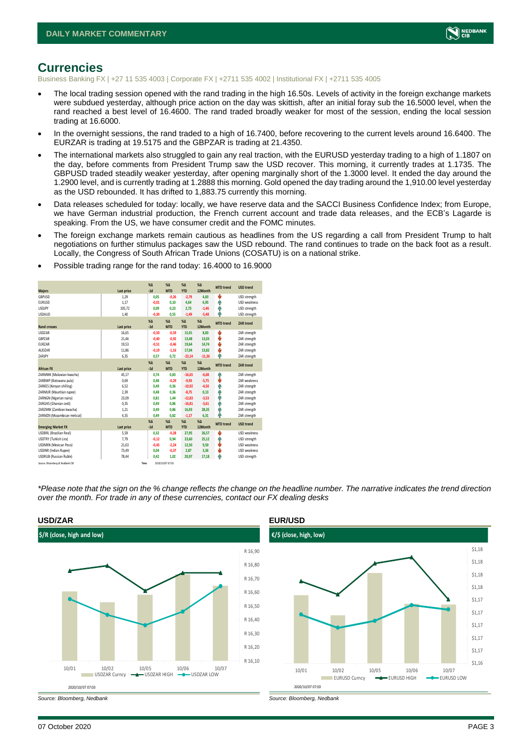

#### <span id="page-2-1"></span><span id="page-2-0"></span>**Currencies**

Business Banking FX | +27 11 535 4003 | Corporate FX | +2711 535 4002 | Institutional FX | +2711 535 4005

- The local trading session opened with the rand trading in the high 16.50s. Levels of activity in the foreign exchange markets were subdued yesterday, although price action on the day was skittish, after an initial foray sub the 16.5000 level, when the rand reached a best level of 16.4600. The rand traded broadly weaker for most of the session, ending the local session trading at 16.6000.
- In the overnight sessions, the rand traded to a high of 16.7400, before recovering to the current levels around 16.6400. The EURZAR is trading at 19.5175 and the GBPZAR is trading at 21.4350.
- The international markets also struggled to gain any real traction, with the EURUSD yesterday trading to a high of 1.1807 on the day, before comments from President Trump saw the USD recover. This morning, it currently trades at 1.1735. The GBPUSD traded steadily weaker yesterday, after opening marginally short of the 1.3000 level. It ended the day around the 1.2900 level, and is currently trading at 1.2888 this morning. Gold opened the day trading around the 1,910.00 level yesterday as the USD rebounded. It has drifted to 1,883.75 currently this morning.
- Data releases scheduled for today: locally, we have reserve data and the SACCI Business Confidence Index; from Europe, we have German industrial production, the French current account and trade data releases, and the ECB's Lagarde is speaking. From the US, we have consumer credit and the FOMC minutes.
- The foreign exchange markets remain cautious as headlines from the US regarding a call from President Trump to halt negotiations on further stimulus packages saw the USD rebound. The rand continues to trade on the back foot as a result. Locally, the Congress of South African Trade Unions (COSATU) is on a national strike.

| <b>Majors</b>                   | Last price | X <sub>A</sub><br>$-1d$ | X <sub>A</sub><br><b>MTD</b> | $\%$ $\Lambda$<br><b>YTD</b> | $% \Delta$<br>12Month | <b>MTD</b> trend | <b>USD trend</b>    |
|---------------------------------|------------|-------------------------|------------------------------|------------------------------|-----------------------|------------------|---------------------|
| GBPUSD                          | 1.29       | 0.05                    | $-0.26$                      | $-2.79$                      | 4.83                  | ψ                | USD strength        |
| <b>EURUSD</b>                   | 1.17       | $-0.01$                 | 0.10                         | 4,64                         | 6,95                  | Φ                | <b>USD</b> weakness |
| <b>USDJPY</b>                   | 105,72     | 0.09                    | 0.23                         | 2,73                         | $-1,46$               | 4                | USD strength        |
| <b>USDAUD</b>                   | 1.40       | $-0.30$                 | 0.55                         | $-1,49$                      | $-5,48$               | ٨                | USD strength        |
|                                 |            | X <sub>A</sub>          | X <sub>A</sub>               | %Δ                           | $% \Delta$            | <b>MTD</b> trend | <b>ZAR trend</b>    |
| <b>Rand crosses</b>             | Last price | $-1d$                   | <b>MTD</b>                   | <b>YTD</b>                   | 12Month               |                  |                     |
| <b>USDZAR</b>                   | 16.65      | $-0.50$                 | $-0.59$                      | 15,91                        | 8.83                  | Ů                | ZAR strength        |
| <b>GRP7AR</b>                   | 21,46      | $-0.40$                 | $-0.92$                      | 13,48                        | 13,03                 | ψ                | ZAR strength        |
| <b>EURZAR</b>                   | 19,53      | $-0.51$                 | $-0.46$                      | 19,64                        | 14.74                 | ψ                | ZAR strength        |
| AUDZAR                          | 11,86      | $-0,19$                 | $-1,16$                      | 17,04                        | 13,82                 | Ů                | ZAR strength        |
| ZARJPY                          | 6,35       | 0.57                    | 0.72                         | $-22.14$                     | $-11.26$              | A                | ZAR strength        |
|                                 |            | X <sub>A</sub>          | X <sub>A</sub>               | $% \Delta$                   | $% \Delta$            | <b>MTD</b> trend | <b>ZAR trend</b>    |
| <b>African FX</b>               | Last price | $-1d$                   | <b>MTD</b>                   | <b>YTD</b>                   | 12Month               |                  |                     |
| ZARMWK (Malawian kwacha)        | 45.17      | 0.74                    | 0.83                         | $-16,65$                     | $-6.68$               | Φ                | ZAR strength        |
| ZARBWP (Botswana pula)          | 0.69       | 0.48                    | $-0.29$                      | $-9,93$                      | $-5,75$               | ψ                | ZAR weakness        |
| ZARKES (Kenyan shilling)        | 6,52       | 0.49                    | 0.36                         | $-10,92$                     | $-4,50$               | Ŵ                | ZAR strength        |
| ZARMUR (Mauritian rupee)        | 2.39       | 0.48                    | 0.36                         | $-8,75$                      | 0,13                  | Φ                | ZAR strength        |
| ZARNGN (Nigerian naira)         | 23,09      | 0.81                    | 1.44                         | $-12,83$                     | $-3,53$               | Φ                | ZAR strength        |
| ZARGHS (Ghanian cedi)           | 0.35       | 0.49                    | 0.86                         | $-16.81$                     | $-3.61$               | Ŵ                | ZAR strength        |
| ZARZMW (Zambian kwacha)         | 1.21       | 0,49                    | 0.86                         | 16,93                        | 28,35                 | 4                | ZAR strength        |
| ZARMZN (Mozambican metical)     | 4,35       | 0,49                    | 0.82                         | $-1,17$                      | 6,31                  | 4                | ZAR strength        |
|                                 |            | X <sub>A</sub>          | X <sub>A</sub>               | $\%$ $\Lambda$               | %                     | <b>MTD</b> trend | <b>USD trend</b>    |
| <b>Emerging Market FX</b>       | Last price | $-1d$                   | <b>MTD</b>                   | <b>YTD</b>                   | 12Month               |                  |                     |
| <b>USDBRL (Brazilian Real)</b>  | 5,59       | 0,32                    | $-0,28$                      | 27,95                        | 26,57                 | Ů                | <b>USD</b> weakness |
| USDTRY (Turkish Lira)           | 7.79       | $-0.12$                 | 0.94                         | 23,60                        | 25,12                 | Φ                | USD strength        |
| USDMXN (Mexican Peso)           | 21,63      | $-0.45$                 | $-2.24$                      | 12,50                        | 9.50                  | ψ                | USD weakness        |
| <b>USDINR</b> (Indian Rupee)    | 73,49      | 0.04                    | $-0.37$                      | 2,87                         | 3.36                  | ψ                | <b>USD</b> weakness |
| <b>USDRUB</b> (Russian Ruble)   | 78,44      | 0.42                    | 1.02                         | 20,97                        | 17,18                 | ń,               | USD strength        |
| Source: Bloomberg & Nedbank CIB | Time       |                         | 2020/10/07 07:03             |                              |                       |                  |                     |

• Possible trading range for the rand today: 16.4000 to 16.9000

*\*Please note that the sign on the % change reflects the change on the headline number. The narrative indicates the trend direction over the month. For trade in any of these currencies, contact our FX dealing desks*



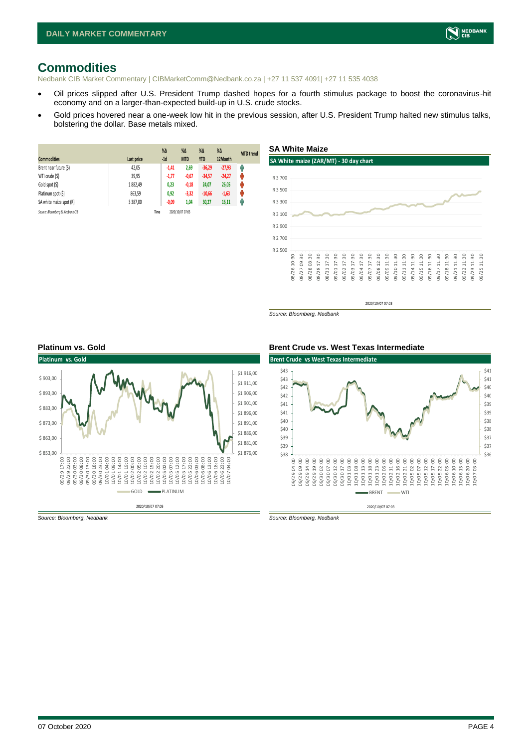# **Commodities**

Nedbank CIB Market Commentary | CIBMarketComm@Nedbank.co.za | +27 11 537 4091| +27 11 535 4038

- Oil prices slipped after U.S. President Trump dashed hopes for a fourth stimulus package to boost the coronavirus-hit economy and on a larger-than-expected build-up in U.S. crude stocks.
- Gold prices hovered near a one-week low hit in the previous session, after U.S. President Trump halted new stimulus talks, bolstering the dollar. Base metals mixed.

| <b>Commodities</b>              | Last price    | $%$ $\Delta$<br>$-1d$ | %Δ<br><b>MTD</b> | $% \Delta$<br><b>YTD</b> | $%$ $\Delta$<br>12Month | <b>MTD</b> trend |
|---------------------------------|---------------|-----------------------|------------------|--------------------------|-------------------------|------------------|
| Brent near future (\$)          | 42,05         | $-1,41$               | 2,69             | $-36,29$                 | $-27,93$                | Ĥ                |
| WTI crude (\$)                  | 39,95         | $-1,77$               | $-0,67$          | $-34,57$                 | $-24,27$                | N                |
| Gold spot (\$)                  | 1882,49       | 0,23                  | $-0,18$          | 24,07                    | 26,05                   | U                |
| Platinum spot (\$)              | 863,59        | 0,92                  | $-3,32$          | $-10,66$                 | $-1,63$                 | U                |
| SA white maize spot (R)         | 3 3 8 7 . 0 0 | $-0,09$               | 1,04             | 30,27                    | 16,11                   | Ĥ                |
| Source: Bloomberg & Nedbank CIB |               | Time                  | 2020/10/07 07:03 |                          |                         |                  |



*Source: Bloomberg, Nedbank*



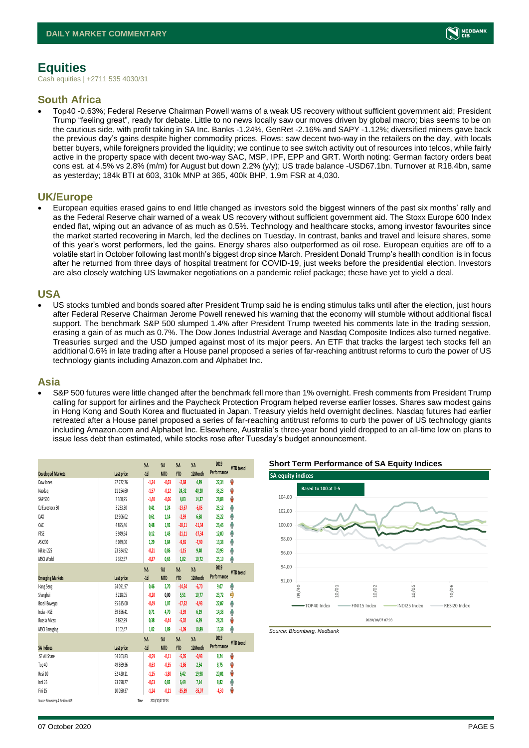

# <span id="page-4-1"></span><span id="page-4-0"></span>**Equities**

Cash equities | +2711 535 4030/31

#### **South Africa**

• Top40 -0.63%; Federal Reserve Chairman Powell warns of a weak US recovery without sufficient government aid; President Trump "feeling great", ready for debate. Little to no news locally saw our moves driven by global macro; bias seems to be on the cautious side, with profit taking in SA Inc. Banks -1.24%, GenRet -2.16% and SAPY -1.12%; diversified miners gave back the previous day's gains despite higher commodity prices. Flows: saw decent two-way in the retailers on the day, with locals better buyers, while foreigners provided the liquidity; we continue to see switch activity out of resources into telcos, while fairly active in the property space with decent two-way SAC, MSP, IPF, EPP and GRT. Worth noting: German factory orders beat cons est. at 4.5% vs 2.8% (m/m) for August but down 2.2% (y/y); US trade balance -USD67.1bn. Turnover at R18.4bn, same as yesterday; 184k BTI at 603, 310k MNP at 365, 400k BHP, 1.9m FSR at 4,030.

#### **UK/Europe**

• European equities erased gains to end little changed as investors sold the biggest winners of the past six months' rally and as the Federal Reserve chair warned of a weak US recovery without sufficient government aid. The Stoxx Europe 600 Index ended flat, wiping out an advance of as much as 0.5%. Technology and healthcare stocks, among investor favourites since the market started recovering in March, led the declines on Tuesday. In contrast, banks and travel and leisure shares, some of this year's worst performers, led the gains. Energy shares also outperformed as oil rose. European equities are off to a volatile start in October following last month's biggest drop since March. President Donald Trump's health condition is in focus after he returned from three days of hospital treatment for COVID-19, just weeks before the presidential election. Investors are also closely watching US lawmaker negotiations on a pandemic relief package; these have yet to yield a deal.

#### **USA**

• US stocks tumbled and bonds soared after President Trump said he is ending stimulus talks until after the election, just hours after Federal Reserve Chairman Jerome Powell renewed his warning that the economy will stumble without additional fiscal support. The benchmark S&P 500 slumped 1.4% after President Trump tweeted his comments late in the trading session, erasing a gain of as much as 0.7%. The Dow Jones Industrial Average and Nasdaq Composite Indices also turned negative. Treasuries surged and the USD jumped against most of its major peers. An ETF that tracks the largest tech stocks fell an additional 0.6% in late trading after a House panel proposed a series of far-reaching antitrust reforms to curb the power of US technology giants including Amazon.com and Alphabet Inc.

#### **Asia**

• S&P 500 futures were little changed after the benchmark fell more than 1% overnight. Fresh comments from President Trump calling for support for airlines and the Paycheck Protection Program helped reverse earlier losses. Shares saw modest gains in Hong Kong and South Korea and fluctuated in Japan. Treasury yields held overnight declines. Nasdaq futures had earlier retreated after a House panel proposed a series of far-reaching antitrust reforms to curb the power of US technology giants including Amazon.com and Alphabet Inc. Elsewhere, Australia's three-year bond yield dropped to an all-time low on plans to issue less debt than estimated, while stocks rose after Tuesday's budget announcement.

|                                 |              | $\%$ $\Delta$ | $\%$ $\Delta$    | $\%$ $\Delta$ | $\%$ $\Delta$ | 2019        | <b>MTD</b> trend |
|---------------------------------|--------------|---------------|------------------|---------------|---------------|-------------|------------------|
| <b>Developed Markets</b>        | Last price   | $-1d$         | <b>MTD</b>       | <b>YTD</b>    | 12Month       | Performance |                  |
| Dow Jones                       | 27 772,76    | $-1,34$       | $-0,03$          | $-2,68$       | 4,89          | 22,34       | V                |
| Nasdao                          | 11 154,60    | $-1,57$       | $-0.12$          | 24,32         | 40,20         | 35,23       | V                |
| S&P 500                         | 3 3 6 0, 9 5 | $-1,40$       | $-0,06$          | 4,03          | 14,37         | 28,88       | J                |
| DJ Eurostoxx 50                 | 3 2 3 3 3 0  | 0.41          | 1.24             | $-13,67$      | $-6,85$       | 25,12       | ۸                |
| DAX                             | 12 906,02    | 0,61          | 1,14             | $-2,59$       | 6,68          | 25,22       | ٨                |
| CAC                             | 4895.46      | 0,48          | 1,92             | $-18,11$      | $-11,34$      | 26,46       | ٨                |
| <b>FTSE</b>                     | 5 9 4 9.94   | 0.12          | 1.43             | $-21,11$      | $-17,34$      | 12,00       | ۸                |
| ASX200                          | 6 0 3 9,00   | 1,29          | 3.84             | $-9,65$       | $-7,99$       | 13,38       | ۸                |
| Nikkei 225                      | 23 384,92    | $-0.21$       | 0,86             | $-1,15$       | 9,40          | 20,93       | ۸                |
| MSCI World                      | 2382,57      | $-0,87$       | 0,65             | 1,02          | 10,72         | 25,19       | ۸                |
|                                 |              | $\%$ $\Delta$ | $\%$ $\Delta$    | $\% \Delta$   | $\%$ $\Delta$ | 2019        |                  |
| <b>Emerging Markets</b>         | Last price   | $-1d$         | <b>MTD</b>       | <b>YTD</b>    | 12Month       | Performance | <b>MTD</b> trend |
| Hang Seng                       | 24 091,97    | 0,46          | 2,70             | $-14,54$      | $-6,70$       | 9,07        | ł                |
| Shanghai                        | 3 2 18,05    | $-0,20$       | 0,00             | 5,51          | 10,77         | 23,72       | Đ                |
| Brazil Bovespa                  | 95 615,00    | $-0.49$       | 1.07             | $-17,32$      | $-4,93$       | 27.07       | ł                |
| India - NSE                     | 39 856,41    | 0.71          | 4.70             | $-3,39$       | 6,19          | 14,38       | ۸                |
| Russia Micex                    | 2892,99      | 0.38          | $-0,44$          | $-5,02$       | 6,39          | 28,21       | V                |
| <b>MSCI Emerging</b>            | 1 1 0 2, 4 7 | 1,02          | 1,89             | $-1,09$       | 10,89         | 15,38       | ۸                |
|                                 |              | $\%$ $\Delta$ | $\%$ $\Delta$    | $\%$ $\Delta$ | $\%$ $\Delta$ | 2019        |                  |
| <b>SA Indices</b>               | Last price   | $-1d$         | <b>MTD</b>       | <b>YTD</b>    | 12Month       | Performance | <b>MTD</b> trend |
| <b>ISE All Share</b>            | 54 203,83    | $-0,59$       | $-0.11$          | $-5,05$       | $-0.93$       | 8,24        | V                |
| Top 40                          | 49 869,36    | $-0.63$       | $-0,35$          | $-1,86$       | 2,54          | 8,75        | V                |
| Resi 10                         | 52 420,11    | $-1,15$       | $-1,80$          | 6,42          | 19,98         | 20,01       | V                |
| Indi 25                         | 73 798,27    | $-0,03$       | 0.83             | 6,49          | 7,14          | 8,82        | ۸                |
| Fini 15                         | 10 050.37    | $-1,24$       | $-0.21$          | $-35,89$      | $-35,07$      | $-4,30$     | V                |
| Source: Bloomberg & Nedbank CIB | Time         |               | 2020/10/07 07:03 |               |               |             |                  |





*Source: Bloomberg, Nedbank*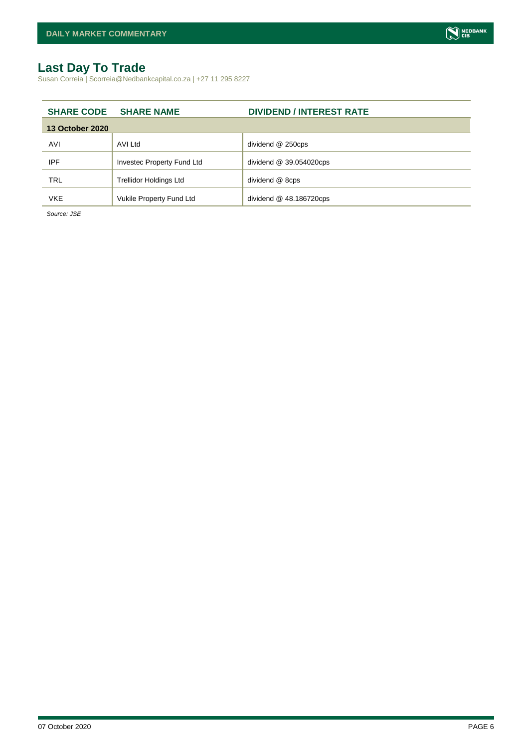#### **Last Day To Trade**

Susan Correia | Scorreia@Nedbankcapital.co.za | +27 11 295 8227

|                        | <b>SHARE CODE SHARE NAME</b>  | <b>DIVIDEND / INTEREST RATE</b> |
|------------------------|-------------------------------|---------------------------------|
| <b>13 October 2020</b> |                               |                                 |
| AVI                    | AVI Ltd                       | dividend @ 250cps               |
| <b>IPF</b>             | Investec Property Fund Ltd    | dividend $@39.054020$ cps       |
| <b>TRL</b>             | <b>Trellidor Holdings Ltd</b> | dividend @ 8cps                 |
| <b>VKE</b>             | Vukile Property Fund Ltd      | dividend $@$ 48.186720cps       |

*Source: JSE*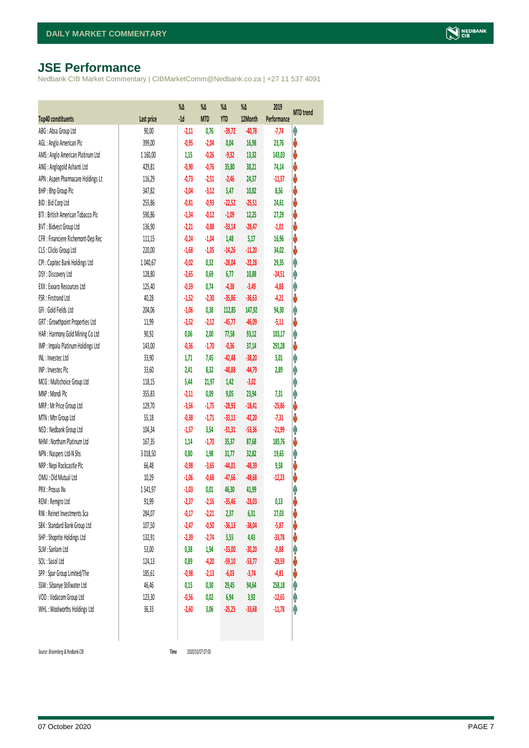# <span id="page-6-0"></span>**JSE Performance**

Nedbank CIB Market Commentary | CIBMarketComm@Nedbank.co.za | +27 11 537 4091

|                                    |            | %Δ      | %Δ         | %Δ         | %Δ       | 2019        | <b>MTD</b> trend |
|------------------------------------|------------|---------|------------|------------|----------|-------------|------------------|
| <b>Top40 constituents</b>          | Last price | $-1d$   | <b>MTD</b> | <b>YTD</b> | 12Month  | Performance |                  |
| ABG: Absa Group Ltd                | 90,00      | $-2,11$ | 0,76       | $-39,72$   | $-40,78$ | $-7,74$     | φ                |
| AGL: Anglo American Plc            | 399,00     | $-0,95$ | $-2,04$    | 0,04       | 16,98    | 23,76       | V                |
| AMS: Anglo American Platinum Ltd   | 1 160,00   | 1,15    | $-0,26$    | $-9,32$    | 13,32    | 143,03      | V                |
| ANG: Anglogold Ashanti Ltd         | 429,81     | $-0,90$ | $-0,76$    | 35,80      | 38,21    | 74,14       | V                |
| APN : Aspen Pharmacare Holdings Lt | 116,29     | $-0,73$ | $-2,51$    | $-2,46$    | 24,37    | $-11,57$    | V                |
| BHP: Bhp Group Plc                 | 347,82     | $-2,04$ | $-3,12$    | 5,47       | 10,82    | 8,56        | ♦                |
| BID: Bid Corp Ltd                  | 255,86     | $-0,81$ | $-0,93$    | $-22,52$   | $-25,51$ | 24,61       | V                |
| BTI: British American Tobacco Plc  | 590,86     | $-1,34$ | $-0,12$    | $-1,09$    | 12,25    | 27,29       | ψ                |
| BVT: Bidvest Group Ltd             | 136,90     | $-2,21$ | $-0,88$    | $-33,14$   | $-28,47$ | $-1,01$     | V                |
| CFR : Financiere Richemont-Dep Rec | 111,15     | $-0,24$ | $-1,04$    | 1,48       | 5,17     | 16,96       | V                |
| CLS : Clicks Group Ltd             | 220,00     | $-1,68$ | $-1,05$    | $-14,26$   | $-11,20$ | 34,02       | ψ                |
| CPI : Capitec Bank Holdings Ltd    | 1040,67    | $-0,02$ | 0,32       | $-28,04$   | $-22,28$ | 29,35       | φ                |
| DSY: Discovery Ltd                 | 128,80     | $-2,65$ | 0,69       | 6,77       | 10,88    | $-24,51$    | φ                |
| EXX : Exxaro Resources Ltd         | 125,40     | $-0,59$ | 0,74       | $-4,38$    | $-3,49$  | $-4,88$     | φ                |
| FSR: Firstrand Ltd                 | 40,28      | $-1,52$ | $-2,30$    | $-35,86$   | $-36,63$ | $-4,21$     | ψ                |
| GFI: Gold Fields Ltd               | 204,06     | $-1,06$ | 0,38       | 112,85     | 147,92   | 94,30       | φ                |
| GRT : Growthpoint Properties Ltd   | 11,99      | $-2,52$ | $-2,12$    | $-45,77$   | $-46,09$ | $-5,11$     | ψ                |
| HAR: Harmony Gold Mining Co Ltd    | 90,92      | 0,06    | 2,00       | 77,58      | 93,12    | 103,17      | φ                |
| IMP : Impala Platinum Holdings Ltd | 143,00     | $-0,36$ | $-1,70$    | $-0,36$    | 37,14    | 291,28      | ♦                |
| INL: Investec Ltd                  | 33,90      | 1,71    | 7,45       | $-42,48$   | $-38,20$ | 5,01        | φ                |
| INP: Invested Plc                  | 33,60      | 2,41    | 8,32       | $-48,88$   | $-44,79$ | 2,89        | φ                |
| MCG: Multichoice Group Ltd         | 118,15     | 5,44    | 21,97      | 1,42       | $-3,02$  |             | φ                |
| MNP: Mondi Plc                     | 355,83     | $-2,11$ | 0,09       | 9,05       | 23,94    | 7,31        | Ą                |
| MRP : Mr Price Group Ltd           | 129,70     | $-3,56$ | $-1,75$    | $-28,93$   | $-18,41$ | $-25,86$    | ψ                |
| MTN: Mtn Group Ltd                 | 55,18      | $-0,38$ | $-1,71$    | $-33,11$   | $-42,20$ | $-7,31$     | ψ                |
| NED : Nedbank Group Ltd            | 104,34     | $-1,57$ | 3,54       | $-51,31$   | $-53,36$ | $-21,99$    | φ                |
| NHM: Northam Platinum Ltd          | 167,35     | 1,14    | $-1,70$    | 35,37      | 87,68    | 185,76      | ψ                |
| NPN : Naspers Ltd-N Shs            | 3 018,50   | 0,80    | 1,98       | 31,77      | 32,82    | 19,65       | φ                |
| NRP : Nepi Rockcastle Plc          | 66,48      | $-0,98$ | $-3,65$    | $-44,01$   | $-48,39$ | 9,58        | V                |
| OMU: Old Mutual Ltd                | 10,29      | $-1,06$ | $-0,68$    | $-47,66$   | $-48,68$ | $-12,23$    | ♦                |
| PRX: Prosus Nv                     | 1541,97    | $-1,03$ | 0,01       | 46,30      | 41,99    |             | φ                |
| REM : Remgro Ltd                   | 91,99      | $-2,37$ | $-2,16$    | $-35,46$   | $-23,03$ | 0,13        | V                |
| RNI : Reinet Investments Sca       | 284,07     | $-0,17$ | $-2,21$    | 2,37       | 6,31     | 27,03       | ψ                |
| SBK: Standard Bank Group Ltd       | 107,50     | $-2,47$ | $-0,50$    | $-36,13$   | $-38,04$ | $-5,87$     | V                |
| SHP: Shoprite Holdings Ltd         | 132,91     | $-2,39$ | $-2,74$    | 5,55       | 4,43     | $-33,78$    | ψ                |
| SLM : Sanlam Ltd                   | 53,00      | 0,38    | 1,94       | $-33,00$   | $-30,20$ | $-0,88$     | φ                |
| SOL: Sasol Ltd                     | 124,13     | 0,89    | $-4,20$    | $-59,10$   | $-53,77$ | $-28,59$    | ψ                |
| SPP: Spar Group Limited/The        | 185,61     | $-0,98$ | $-2,13$    | $-6,03$    | $-3,74$  | $-4,81$     | ψ                |
| SSW : Sibanye Stillwater Ltd       | 46,46      | 0,15    | 0,30       | 29,45      | 94,64    | 258,18      | φ                |
| VOD: Vodacom Group Ltd             | 123,30     | $-0,56$ | 0,02       | 6,94       | 3,92     | $-12,65$    | φ                |
| WHL: Woolworths Holdings Ltd       | 36,33      | $-2,60$ | 3,06       | $-25,25$   | $-33,68$ | $-11,78$    | φ                |
|                                    |            |         |            |            |          |             |                  |

 $Source: Bloomberg & Nedbank *CB*$ 

Time 2020/10/07 07:03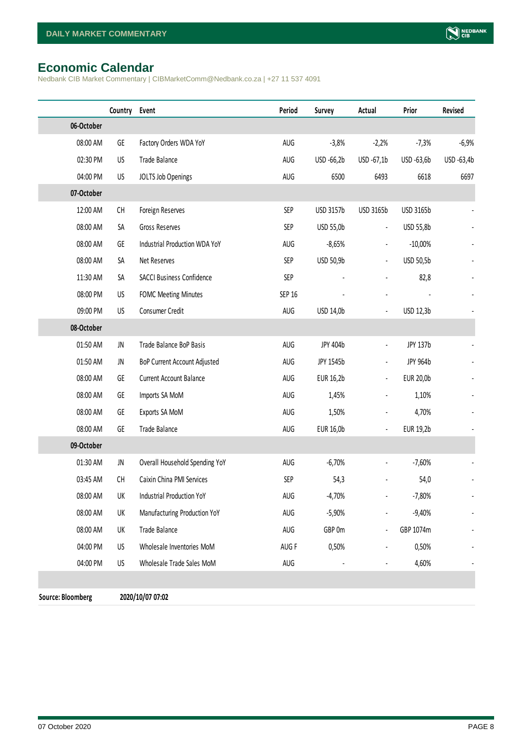# <span id="page-7-0"></span>**Economic Calendar**

Nedbank CIB Market Commentary | CIBMarketComm@Nedbank.co.za | +27 11 537 4091

|                          | Country | Event                            | Period        | Survey     | Actual               | Prior      | Revised    |
|--------------------------|---------|----------------------------------|---------------|------------|----------------------|------------|------------|
| 06-October               |         |                                  |               |            |                      |            |            |
| 08:00 AM                 | GE      | Factory Orders WDA YoY           | AUG           | $-3,8%$    | $-2,2%$              | $-7,3%$    | $-6,9%$    |
| 02:30 PM                 | US      | Trade Balance                    | AUG           | USD -66,2b | USD -67,1b           | USD -63,6b | USD -63,4b |
| 04:00 PM                 | US      | JOLTS Job Openings               | AUG           | 6500       | 6493                 | 6618       | 6697       |
| 07-October               |         |                                  |               |            |                      |            |            |
| 12:00 AM                 | CH      | Foreign Reserves                 | <b>SEP</b>    | USD 3157b  | USD 3165b            | USD 3165b  |            |
| 08:00 AM                 | SA      | Gross Reserves                   | <b>SEP</b>    | USD 55,0b  | $\blacksquare$       | USD 55,8b  |            |
| 08:00 AM                 | GE      | Industrial Production WDA YoY    | AUG           | $-8,65%$   |                      | $-10,00%$  |            |
| 08:00 AM                 | SA      | Net Reserves                     | <b>SEP</b>    | USD 50,9b  | $\blacksquare$       | USD 50,5b  |            |
| 11:30 AM                 | SA      | <b>SACCI Business Confidence</b> | SEP           |            |                      | 82,8       |            |
| 08:00 PM                 | US      | <b>FOMC Meeting Minutes</b>      | <b>SEP 16</b> |            |                      |            |            |
| 09:00 PM                 | US      | Consumer Credit                  | AUG           | USD 14,0b  |                      | USD 12,3b  |            |
| 08-October               |         |                                  |               |            |                      |            |            |
| 01:50 AM                 | JN      | Trade Balance BoP Basis          | AUG           | JPY 404b   | $\blacksquare$       | JPY 137b   |            |
| 01:50 AM                 | JN      | BoP Current Account Adjusted     | AUG           | JPY 1545b  | $\blacksquare$       | JPY 964b   |            |
| 08:00 AM                 | GE      | Current Account Balance          | AUG           | EUR 16,2b  | $\blacksquare$       | EUR 20,0b  |            |
| 08:00 AM                 | GE      | Imports SA MoM                   | AUG           | 1,45%      | $\blacksquare$       | 1,10%      |            |
| 08:00 AM                 | GE      | Exports SA MoM                   | AUG           | 1,50%      |                      | 4,70%      |            |
| 08:00 AM                 | GE      | Trade Balance                    | AUG           | EUR 16,0b  | $\blacksquare$       | EUR 19,2b  |            |
| 09-October               |         |                                  |               |            |                      |            |            |
| 01:30 AM                 | JN      | Overall Household Spending YoY   | AUG           | $-6,70%$   | $\blacksquare$       | $-7,60%$   |            |
| 03:45 AM                 | CH      | Caixin China PMI Services        | <b>SEP</b>    | 54,3       |                      | 54,0       |            |
| 08:00 AM                 | UK      | Industrial Production YoY        | AUG           | $-4,70%$   |                      | $-7,80%$   |            |
| 08:00 AM                 | UK      | Manufacturing Production YoY     | AUG           | $-5,90%$   |                      | $-9,40%$   |            |
| 08:00 AM                 | UK      | Trade Balance                    | AUG           | GBP 0m     |                      | GBP 1074m  |            |
| 04:00 PM                 | US      | Wholesale Inventories MoM        | AUG F         | 0,50%      |                      | 0,50%      |            |
| 04:00 PM                 | US      | Wholesale Trade Sales MoM        | AUG           |            | $\ddot{\phantom{1}}$ | 4,60%      |            |
|                          |         |                                  |               |            |                      |            |            |
| <b>Source: Bloomberg</b> |         | 2020/10/07 07:02                 |               |            |                      |            |            |